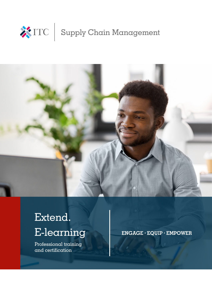



# Extend. E-learning

Professional training and certification

**ENGAGE · EQUIP · EMPOWER**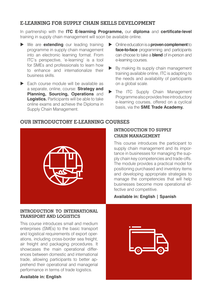## **E-LEARNING FOR SUPPLY CHAIN SKILLS DEVELOPMENT**

In partnership with the **ITC E-learning Programme,** our **diploma** and **certificate-level**  training in supply chain management will soon be available online.

- ▶ We are **extending** our leading training programme in supply chain management into an electronic learning format. From ITC's perspective, 'e-learning' is a tool for SMEs and professionals to learn how to enhance and internationalize their business skills.
- $\blacktriangleright$  Each course module will be available as a separate, online, course: **Strategy and Planning, Sourcing, Operations** and **Logistics.** Participants will be able to take online exams and achieve the Diploma in Supply Chain Management.
- X Online education is a **proven complement** to **face-to-face** programming and participants can choose to take a **blend** of in-person and e-learning courses.
- $\triangleright$  By making its supply chain management training available online, ITC is adapting to the needs and availability of participants on a global scale.
- The ITC Supply Chain Management Programme also provides free introductory e-learning courses, offered on a cyclical basis, via the **SME Trade Academy.**

## **OUR INTRODUCTORY E-LEARNING COURSES**



#### **INTRODUCTION TO INTERNATIONAL TRANSPORT AND LOGISTICS**

This course introduces small and medium enterprises (SMEs) to the basic transport and logistical requirements of export operations, including cross-border sea freight, air freight and packaging procedures. It showcases the main operational differences between domestic and international trade, allowing participants to better apprehend their operational and managerial performance in terms of trade logistics.

#### **Available in: English**

## **INTRODUCTION TO SUPPLY CHAIN MANAGEMENT**

This course introduces the participant to supply chain management and its importance in businesses for managing the supply chain key competencies and trade-offs. The module provides a practical model for positioning purchased and inventory items and developing appropriate strategies to manage the competencies that will help businesses become more operational effective and competitive.

### **Available in: English | Spanish**

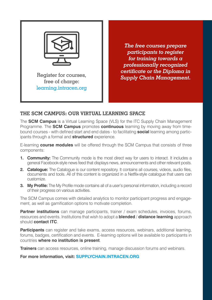

free of charge: learning.intracen.org

*The free courses prepare participants to register for training towards a professionally recognized certificate or the Diploma in*  Register for courses, **Supply Chain Management.** 

# **THE SCM CAMPUS: OUR VIRTUAL LEARNING SPACE**

The **SCM Campus** is a Virtual Learning Space (VLS) for the ITC Supply Chain Management Programme. The **SCM Campus** promotes **continuous** learning by moving away from timebound courses - with defined start and end dates - to facilitating **social** learning among participants through a formal and **structured** experience.

E-learning **course modules** will be offered through the SCM Campus that consists of three components:

- **1. Community:** The Community mode is the most direct way for users to interact. It includes a general Facebook-style news feed that displays news, announcements and other relevant posts.
- **2. Catalogue:** The Catalogue is our content repository. It contains all courses, videos, audio files, documents and tools. All of this content is organized in a Netflix-style catalogue that users can customize.
- **3. My Profile:** The My Profile mode contains all of a user's personal information, including a record of their progress on various activities.

The SCM Campus comes with detailed analytics to monitor participant progress and engagement, as well as gamification options to motivate completion.

**Partner institutions** can manage participants, trainer / exam schedules, invoices, forums, resources and events. Institutions that wish to adopt a **blended** / **distance learning** approach should **contact ITC**.

**Participants** can register and take exams, access resources, webinars, additional learning, forums, badges, certification and events. E-learning options will be available to participants in countries **where no institution is present**.

**Trainers** can access resources, online training, manage discussion forums and webinars.

**For more information, visit: SUPPLYCHAIN.INTRACEN.ORG**